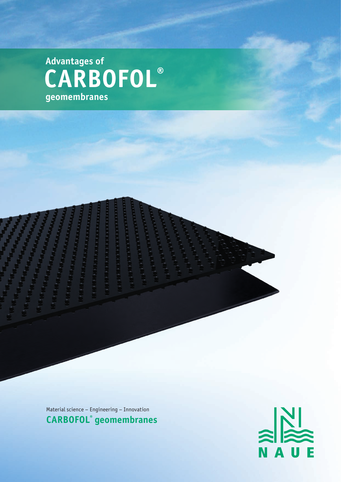**CARBOFOL® geomembranes Advantages of** 

> **The Constitution of Party**

*<u>REGIONALE</u>* 

**CONTRACTOR** 

**The Controlling** 

**Talla** 

Material science – Engineering – Innovation **CARBOFOL® geomembranes**

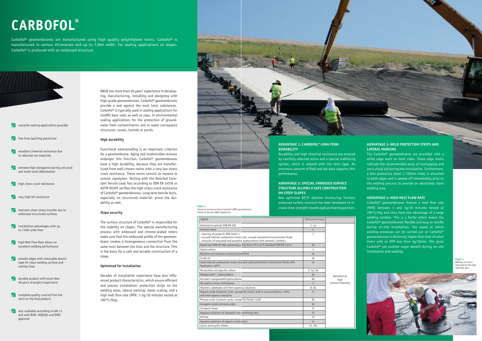- $\sqrt{\phantom{a}}$  excellent chemical resistance due to selected raw materials
- $\sqrt{\phantom{a}}$  extreme high elongation during uni-axial and multi-axial deformation
- high stress crack resistance
- $\sqrt{\phantom{a}}$  very high UV-resistance
- **isotropic shear stress transfer due to** embossed structured surfaces
- **Installation advantages with up** to 7.50m wide liner
- $\sqrt{\phantom{a}}$  high Melt Flow Rate allows an excellent welding performance
- $\sqrt{\phantom{a}}$  smooth edges with removable plastic tape for clean welding surface and overlap lines
- $\sqrt{\phantom{a}}$  durable product with more than 40 years of project experience
- $\sqrt{\phantom{a}}$  complete quality control from the resin to the final product
- also available according to GM-13 and with BAM, ASQUAL and DIBt approval

NAUE has more than 40 years' experience in developing, manufacturing, installing and designing with high-grade geomembranes. Carbofol® geomembranes provide a seal against the most toxic substances. Carbofol® is typically used in sealing applications for landfill base seals as well as caps, in environmental sealing applications for the protection of groundwater from contamination and in water conveyance structures, canals, tunnels or ponds.

#### **High durability**

Functional waterproofing is an important criterion for a geomembrane. Aging and inadmissible stresses endanger this function. Carbofol® geomembranes have a high durability, because they are manufactured from well-chosen resins with a very low stress crack resistance. These resins consist on hexene or octene copolymer. Testing with the Notched Constant Tensile Load Test according to DIN EN 14576 or ASTM D5397 verifies the high stress crack resistance of Carbofol® geomembranes. Long term tensile tests, especially on structured material, prove the durability as well.

#### **Slope security**

The surface structure of Carbofol® is responsible for the stability on slopes. The special manufacturing process with embossed and chrome-plated rollers make sure that the embossed profile of the geomembrane creates a homogeneous connection from the same resin between the liner and the structure. This is the basis for a safe and durable construction of a slope.

#### **Optimised for installation**

Decades of installation experience have also influenced product characteristics, which ensure efficient and precise installation: protection strips on the welding areas, lateral marking, meter scaling, and a high melt flow rate (MFR: 1-3g/10 minutes tested at 190°C/5kg).

## **CARBOFOL®**

Carbofol® geomembranes are manufactured using high quality polyethylene resins. Carbofol® is manufactured in various thicknesses and up to 7.50m width. For sealing applications on slopes, Carbofol® is produced with an embossed structure.

 $\sqrt{\ }$  versatile sealing applications possible

 $\sqrt{\phantom{a}}$  free from leaching plasticiser

## **ADVANTAGE 1: CARBOFOL® LONG-TERM DURABILITY**

Durability and high chemical resistance are ensured by carefully selected resins and a special stabilising system, which is aligned with the resin type. An enormous amount of field and lab data supports this performance.

#### **ADVANTAGE 2: SPECIAL EMBOSSED SURFACE STRUCTURE ALLOWS A SAFE CONSTRUCTION ON STEEP SLOPES**

New optimised BF/TF (bottom friction/top friction) embossed surface structure has been developed to increase shear strength towards typical shearing partners.

## **ADVANTAGE 3: WELD PROTECTION STRIPS AND LATERAL MARKING**

| Liquids                                                                                                                                                                                          | Substance Group          |                                           |
|--------------------------------------------------------------------------------------------------------------------------------------------------------------------------------------------------|--------------------------|-------------------------------------------|
| Automotive petrols DIN EN 228                                                                                                                                                                    | 1, 1a                    | Resistant at<br>high<br>contact Intensity |
| <b>Aviation fuels</b>                                                                                                                                                                            | $\overline{\phantom{0}}$ |                                           |
| - Heating oil grade EL DIN 51603-1<br>- unused internal combustion motor oils, unused automotive transmission fluids<br>- mixtures of saturated and aromatic hydrocarbons with aromatic contents | 3                        |                                           |
| Diesel fuel DIN EN 590 containing a maximum of 5 vol % biodiesel DIN EN 14214                                                                                                                    | 3 <sub>b</sub>           |                                           |
| Hydrocarbons                                                                                                                                                                                     | 4                        |                                           |
| Benzene and mixtures containing benzene                                                                                                                                                          | 4a                       |                                           |
| Crude oil                                                                                                                                                                                        | 4b                       |                                           |
| Used internal-combustion molar oils and used automotive transmission fluids with<br>flashpoint $> 60^{\circ}$ C                                                                                  | 4 <sub>C</sub>           |                                           |
| All alcohols and glycolic ethers                                                                                                                                                                 | 5, 5a, 5b                |                                           |
| Halogenated C, hydrocarbons                                                                                                                                                                      | 6a                       |                                           |
| Aromatic halogenated hydrocarbons;                                                                                                                                                               | 6 <sub>b</sub>           |                                           |
| All organic esters and ketones                                                                                                                                                                   | $7\overline{ }$          |                                           |
| Aliphatic aldehydes and their aqueous solutions                                                                                                                                                  | 8,8a                     |                                           |
| Organic acids (carbonic acids, except for formic acid in concentrations > 10%)<br>and their aqueous solutions                                                                                    | $\mathsf{q}$             |                                           |
| Mineral acids (carbonic acids, except for formic acid)                                                                                                                                           | 9a                       |                                           |
| Inorganic acids (mineral acids)                                                                                                                                                                  | 10                       |                                           |
| Inorganic bases                                                                                                                                                                                  | 11                       |                                           |
| Aqueous solutions of inorganic non-oxidizing salts                                                                                                                                               | 12                       |                                           |
| Amines                                                                                                                                                                                           | 13                       |                                           |
| Aqueous solutions of organic surfactants                                                                                                                                                         | 14                       |                                           |
| Cyclic and acyclic ethers                                                                                                                                                                        | 15, 15a                  |                                           |

The Carbofol® geomembranes are provided with a white edge mark on both sides. These edge marks indicate the recommended areas of overlapping and are a visual aid during the installation. Furthermore, a thin protective sheet (~150mm wide) is attached to both edges and is peeled off immediately prior to the welding process to provide an absolutely clean welding area.

### **ADVANTAGE 4: HIGH MELT FLOW RATE**

Carbofol® geomembranes feature a melt flow rate (MFR) between 1 and 3g/10 minutes tested at 190°C/5kg and thus have the advantage of a large welding window. This is a factor which makes the Carbofol® geomembranes flexible and easy to handle during on-site installation. The speed at which welding processes can be carried out on Carbofol® geomembranes is distinctly higher than that of other liners with an MFR less than 1g/10min. This gives Carbofol® yet another major benefit during on-site installation and welding.

#### **Figure 1** Chemical resistance from Carbofol® HDPE geoembranes **Figure 1** Chemical resistance from Carbofol® HDPE geoembranes based on German DIBt regulations based on German DIBt regulations

**Figure 3** Welding on-site is improved by the high melt flow rate